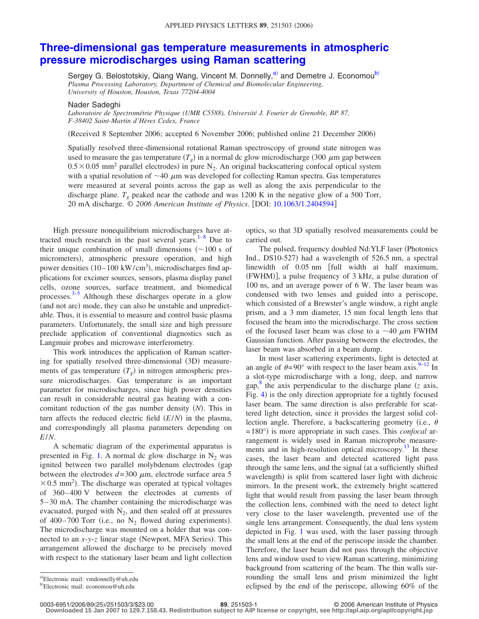## **[Three-dimensional gas temperature measurements in atmospheric](http://dx.doi.org/10.1063/1.2404594) [pressure microdischarges using Raman scattering](http://dx.doi.org/10.1063/1.2404594)**

Sergey G. Belostotskiy, Qiang Wang, Vincent M. Donnelly,<sup>a</sup> and Demetre J. Economou<sup>b)</sup> *Plasma Processing Laboratory, Department of Chemical and Biomolecular Engineering, University of Houston, Houston, Texas 77204-4004*

Nader Sadeghi

*Laboratoire de Spectrométrie Physique (UMR C5588), Université J. Fourier de Grenoble, BP 87, F-38402 Saint-Martin d'Hères Cedex, France*

(Received 8 September 2006; accepted 6 November 2006; published online 21 December 2006)

Spatially resolved three-dimensional rotational Raman spectroscopy of ground state nitrogen was used to measure the gas temperature  $(T_g)$  in a normal dc glow microdischarge (300  $\mu$ m gap between  $0.5 \times 0.05$  mm<sup>2</sup> parallel electrodes) in pure N<sub>2</sub>. An original backscattering confocal optical system with a spatial resolution of  $\sim$ 40  $\mu$ m was developed for collecting Raman spectra. Gas temperatures were measured at several points across the gap as well as along the axis perpendicular to the discharge plane.  $T<sub>e</sub>$  peaked near the cathode and was 1200 K in the negative glow of a 500 Torr, 20 mA discharge. © *2006 American Institute of Physics*. DOI: [10.1063/1.2404594](http://dx.doi.org/10.1063/1.2404594)

High pressure nonequilibrium microdischarges have attracted much research in the past several years. $1-8$  $1-8$  Due to their unique combination of small dimensions  $($  ~100 s of micrometers), atmospheric pressure operation, and high power densities  $(10-100 \text{ kW/cm}^3)$ , microdischarges find applications for excimer sources, sensors, plasma display panel cells, ozone sources, surface treatment, and biomedical processes.<sup>[3](#page-2-2)[–5](#page-2-3)</sup> Although these discharges operate in a glow (and not arc) mode, they can also be unstable and unpredictable. Thus, it is essential to measure and control basic plasma parameters. Unfortunately, the small size and high pressure preclude application of conventional diagnostics such as Langmuir probes and microwave interferometry.

This work introduces the application of Raman scattering for spatially resolved three-dimensional (3D) measurements of gas temperature  $(T_g)$  in nitrogen atmospheric pressure microdischarges. Gas temperature is an important parameter for microdischarges, since high power densities can result in considerable neutral gas heating with a concomitant reduction of the gas number density (N). This in turn affects the reduced electric field  $(E/N)$  in the plasma, and correspondingly all plasma parameters depending on *E*/*N*.

A schematic diagram of the experimental apparatus is presented in Fig. [1.](#page-1-0) A normal dc glow discharge in  $N_2$  was ignited between two parallel molybdenum electrodes (gap between the electrodes  $d=300 \mu m$ , electrode surface area 5  $\times$  0.5 mm<sup>2</sup>). The discharge was operated at typical voltages of 360–400 V between the electrodes at currents of 5–30 mA. The chamber containing the microdischarge was evacuated, purged with  $N_2$ , and then sealed off at pressures of 400–700 Torr (i.e., no  $N_2$  flowed during experiments). The microdischarge was mounted on a holder that was connected to an *x*-*y*-*z* linear stage (Newport, MFA Series). This arrangement allowed the discharge to be precisely moved with respect to the stationary laser beam and light collection optics, so that 3D spatially resolved measurements could be carried out.

The pulsed, frequency doubled Nd:YLF laser (Photonics Ind., DS10-527) had a wavelength of 526.5 nm, a spectral linewidth of 0.05 nm [full width at half maximum, (FWHM)], a pulse frequency of 3 kHz, a pulse duration of 100 ns, and an average power of 6 W. The laser beam was condensed with two lenses and guided into a periscope, which consisted of a Brewster's angle window, a right angle prism, and a 3 mm diameter, 15 mm focal length lens that focused the beam into the microdischarge. The cross section of the focused laser beam was close to a  $\sim$  40  $\mu$ m FWHM Gaussian function. After passing between the electrodes, the laser beam was absorbed in a beam dump.

In most laser scattering experiments, light is detected at an angle of  $\theta = 90^\circ$  with respect to the laser beam axis. <sup>9–[12](#page-2-5)</sup> In a slot-type microdischarge with a long, deep, and narrow gap, $\frac{8}{3}$  $\frac{8}{3}$  $\frac{8}{3}$  the axis perpendicular to the discharge plane (*z* axis, Fig. [4](#page-2-6)) is the only direction appropriate for a tightly focused laser beam. The same direction is also preferable for scattered light detection, since it provides the largest solid collection angle. Therefore, a backscattering geometry (i.e.,  $\theta$ =180°) is more appropriate in such cases. This *confocal* arrangement is widely used in Raman microprobe measurements and in high-resolution optical microscopy.<sup>13</sup> In these cases, the laser beam and detected scattered light pass through the same lens, and the signal (at a sufficiently shifted wavelength) is split from scattered laser light with dichroic mirrors. In the present work, the extremely bright scattered light that would result from passing the laser beam through the collection lens, combined with the need to detect light very close to the laser wavelength, prevented use of the single lens arrangement. Consequently, the dual lens system depicted in Fig. [1](#page-1-0) was used, with the laser passing through the small lens at the end of the periscope inside the chamber. Therefore, the laser beam did not pass through the objective lens and window used to view Raman scattering, minimizing background from scattering of the beam. The thin walls surrounding the small lens and prism minimized the light eclipsed by the end of the periscope, allowing 60% of the

0003-6951/2006/89(25)/251503/3/\$23.00

<span id="page-0-1"></span><span id="page-0-0"></span>a)Electronic mail: vmdonnelly@uh.edu

b)Electronic mail: economou@uh.edu

**<sup>25.251503-1</sup> 2006 American Institute of Physics 89**, 251503-1

**Downloaded 15 Jan 2007 to 129.7.158.43. Redistribution subject to AIP license or copyright, see http://apl.aip.org/apl/copyright.jsp**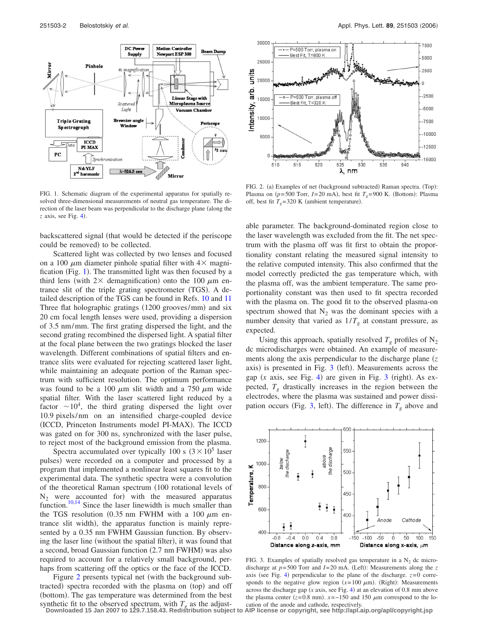<span id="page-1-0"></span>

FIG. 1. Schematic diagram of the experimental apparatus for spatially resolved three-dimensional measurements of neutral gas temperature. The direction of the laser beam was perpendicular to the discharge plane (along the  $z$  axis, see Fig.  $4$ ).

backscattered signal (that would be detected if the periscope could be removed) to be collected.

Scattered light was collected by two lenses and focused on a 100  $\mu$ m diameter pinhole spatial filter with  $4\times$  magni-fication (Fig. [1](#page-1-0)). The transmitted light was then focused by a third lens (with  $2 \times$  demagnification) onto the 100  $\mu$ m entrance slit of the triple grating spectrometer (TGS). A detailed description of the TGS can be found in Refs. [10](#page-2-8) and [11](#page-2-9) Three flat holographic gratings (1200 grooves/mm) and six 20 cm focal length lenses were used, providing a dispersion of 3.5 nm/mm. The first grating dispersed the light, and the second grating recombined the dispersed light. A spatial filter at the focal plane between the two gratings blocked the laser wavelength. Different combinations of spatial filters and entrance slits were evaluated for rejecting scattered laser light, while maintaining an adequate portion of the Raman spectrum with sufficient resolution. The optimum performance was found to be a 100  $\mu$ m slit width and a 750  $\mu$ m wide spatial filter. With the laser scattered light reduced by a factor  $\sim 10^4$ , the third grating dispersed the light over 10.9 pixels/nm on an intensified charge-coupled device (ICCD, Princeton Instruments model PI-MAX). The ICCD was gated on for 300 ns, synchronized with the laser pulse, to reject most of the background emission from the plasma.

Spectra accumulated over typically 100 s  $(3 \times 10^5)$  laser pulses) were recorded on a computer and processed by a program that implemented a nonlinear least squares fit to the experimental data. The synthetic spectra were a convolution of the theoretical Raman spectrum (100 rotational levels of  $N_2$  were accounted for) with the measured apparatus function. $10,14$  $10,14$  Since the laser linewidth is much smaller than the TGS resolution (0.35 nm FWHM with a 100  $\mu$ m entrance slit width), the apparatus function is mainly represented by a 0.35 nm FWHM Gaussian function. By observing the laser line (without the spatial filter), it was found that a second, broad Gaussian function (2.7 nm FWHM) was also required to account for a relatively small background, perhaps from scattering off the optics or the face of the ICCD.

Figure [2](#page-1-1) presents typical net (with the background subtracted) spectra recorded with the plasma on (top) and off (bottom). The gas temperature was determined from the best synthetic fit to the observed spectrum, with  $T_g$  as the adjust-<br>Downloaded 15 Jan 2007 to 129.7.158.43. Redistribution subject to AIP license or copyright, see http://apl.aip.org/apl/copyright.jsp

<span id="page-1-1"></span>

FIG. 2. (a) Examples of net (background subtracted) Raman spectra. (Top): Plasma on ( $p = 500$  Torr,  $I = 20$  mA), best fit  $T<sub>g</sub> = 900$  K. (Bottom): Plasma off, best fit  $T_g = 320$  K (ambient temperature).

able parameter. The background-dominated region close to the laser wavelength was excluded from the fit. The net spectrum with the plasma off was fit first to obtain the proportionality constant relating the measured signal intensity to the relative computed intensity. This also confirmed that the model correctly predicted the gas temperature which, with the plasma off, was the ambient temperature. The same proportionality constant was then used to fit spectra recorded with the plasma on. The good fit to the observed plasma-on spectrum showed that  $N_2$  was the dominant species with a number density that varied as  $1/T<sub>g</sub>$  at constant pressure, as expected.

Using this approach, spatially resolved  $T<sub>g</sub>$  profiles of  $N<sub>2</sub>$ dc microdischarges were obtained. An example of measurements along the axis perpendicular to the discharge plane (z axis) is presented in Fig. [3](#page-1-2) (left). Measurements across the gap  $(x \text{ axis, see Fig. 4})$  $(x \text{ axis, see Fig. 4})$  $(x \text{ axis, see Fig. 4})$  are given in Fig. [3](#page-1-2) (right). As expected,  $T_g$  drastically increases in the region between the electrodes, where the plasma was sustained and power dissi-pation occurs (Fig. [3,](#page-1-2) left). The difference in  $T_g$  above and

<span id="page-1-2"></span>

FIG. 3. Examples of spatially resolved gas temperature in a  $N_2$  dc microdischarge at  $p = 500$  Torr and  $I = 20$  mA. (Left): Measurements along the *z* axis (see Fig. [4](#page-2-6)) perpendicular to the plane of the discharge.  $z=0$  corresponds to the negative glow region  $(x=100 \mu m)$ . (Right): Measurements across the discharge gap  $(x \text{ axis}, \text{ see Fig. 4})$  $(x \text{ axis}, \text{ see Fig. 4})$  $(x \text{ axis}, \text{ see Fig. 4})$  at an elevation of 0.8 mm above the plasma center  $(z=0.8 \text{ mm})$ .  $x=-150$  and 150  $\mu$ m correspond to the lo-